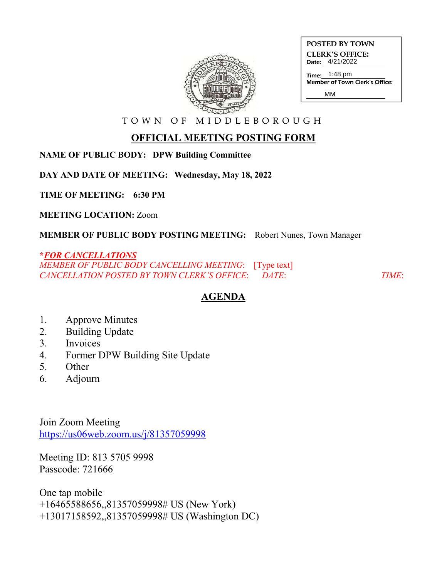

| POSTED BY TOWN         |
|------------------------|
| <b>CLERK'S OFFICE:</b> |
| Date: 4/21/2022        |

MM

Time: 1:48 pm Member of Town Clerk's Office:

T O W N O F M I D D L E B O R O U G H

## **OFFICIAL MEETING POSTING FORM**

**NAME OF PUBLIC BODY: DPW Building Committee**

**DAY AND DATE OF MEETING: Wednesday, May 18, 2022**

**TIME OF MEETING: 6:30 PM**

**MEETING LOCATION:** Zoom

**MEMBER OF PUBLIC BODY POSTING MEETING:** Robert Nunes, Town Manager

## **\****FOR CANCELLATIONS*

*MEMBER OF PUBLIC BODY CANCELLING MEETING*: [Type text] *CANCELLATION POSTED BY TOWN CLERK'S OFFICE*: *DATE*: *TIME*:

## **AGENDA**

- 1. Approve Minutes
- 2. Building Update
- 3. Invoices
- 4. Former DPW Building Site Update
- 5. Other
- 6. Adjourn

Join Zoom Meeting https://us06web.zoom.us/j/81357059998

Meeting ID: 813 5705 9998 Passcode: 721666

One tap mobile +16465588656,,81357059998# US (New York) +13017158592,,81357059998# US (Washington DC)